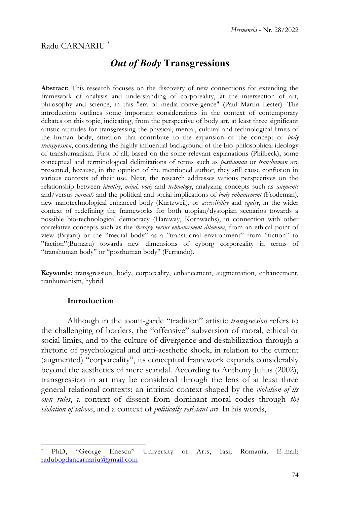# Radu CARNARIU \*

# *Out of Body* **Transgressions**

**Abstract:** This research focuses on the discovery of new connections for extending the framework of analysis and understanding of corporeality, at the intersection of art, philosophy and science, in this "era of media convergence" (Paul Martin Lester). The introduction outlines some important considerations in the context of contemporary debates on this topic, indicating, from the perspective of body art, at least three significant artistic attitudes for transgressing the physical, mental, cultural and technological limits of the human body, situation that contribute to the expansion of the concept of *body transgression*, considering the highly influential background of the bio-philosophical ideology of transhumanism. First of all, based on the some relevant explanations (Philbeck), some conceptual and terminological delimitations of terms such as *posthuman* or *transhuman* are presented, because, in the opinion of the mentioned author, they still cause confusion in various contexts of their use. Next, the research addresses various perspectives on the relationship between *identity*, *mind*, *body* and *technology*, analyzing concepts such as *augments* and/versus *normals* and the political and social implications of *body enhancement* (Frodeman), new nanotechnological enhanced body (Kurtzweil), or *accessibility* and *equity*, in the wider context of redefining the frameworks for both utopian/dystopian scenarios towards a possible bio-technological democracy (Haraway, Kornwachs), in connection with other correlative concepts such as the *therapy versus enhancement dilemma*, from an ethical point of view (Bryant) or the "medial body" as a "transitional environment" from "fiction" to ‖faction‖(Butnaru) towards new dimensions of cyborg corporeality in terms of "transhuman body" or "posthuman body" (Ferrando).

**Keywords:** transgression, body, corporeality, enhancement, augmentation, enhancement, tranhumanism, hybrid

## **Introduction**

l

Although in the avant-garde "tradition" artistic *transgression* refers to the challenging of borders, the "offensive" subversion of moral, ethical or social limits, and to the culture of divergence and destabilization through a rhetoric of psychological and anti-aesthetic shock, in relation to the current (augmented) "corporeality", its conceptual framework expands considerably beyond the aesthetics of mere scandal. According to Anthony Julius (2002), transgression in art may be considered through the lens of at least three general relational contexts: an intrinsic context shaped by the *violation of its own rules*, a context of dissent from dominant moral codes through *the violation of taboos*, and a context of *politically resistant art*. In his words,

PhD, "George Enescu" University of Arts, Iasi, Romania. E-mail: [radubogdancarnariu@gmail.com](mailto:radubogdancarnariu@gmail.com)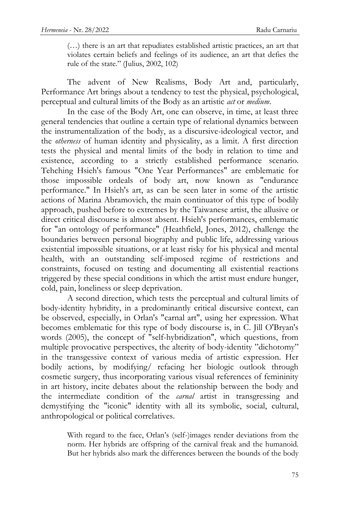(…) there is an art that repudiates established artistic practices, an art that violates certain beliefs and feelings of its audience, an art that defies the rule of the state." (Julius, 2002,  $102$ )

The advent of New Realisms, Body Art and, particularly, Performance Art brings about a tendency to test the physical, psychological, perceptual and cultural limits of the Body as an artistic *act* or *medium*.

In the case of the Body Art, one can observe, in time, at least three general tendencies that outline a certain type of relational dynamics between the instrumentalization of the body, as a discursive-ideological vector, and the *otherness* of human identity and physicality, as a limit. A first direction tests the physical and mental limits of the body in relation to time and existence, according to a strictly established performance scenario. Tehching Hsieh's famous "One Year Performances" are emblematic for those impossible ordeals of body art, now known as "endurance performance." In Hsieh's art, as can be seen later in some of the artistic actions of Marina Abramovich, the main continuator of this type of bodily approach, pushed before to extremes by the Taiwanese artist, the allusive or direct critical discourse is almost absent. Hsieh's performances, emblematic for "an ontology of performance" (Heathfield, Jones, 2012), challenge the boundaries between personal biography and public life, addressing various existential impossible situations, or at least risky for his physical and mental health, with an outstanding self-imposed regime of restrictions and constraints, focused on testing and documenting all existential reactions triggered by these special conditions in which the artist must endure hunger, cold, pain, loneliness or sleep deprivation.

A second direction, which tests the perceptual and cultural limits of body-identity hybridity, in a predominantly critical discursive context, can be observed, especially, in Orlan's "carnal art", using her expression. What becomes emblematic for this type of body discourse is, in C. Jill O'Bryan's words (2005), the concept of "self-hybridization", which questions, from multiple provocative perspectives, the alterity of body-identity "dichotomy" in the transgessive context of various media of artistic expression. Her bodily actions, by modifying/ refacing her biologic outlook through cosmetic surgery, thus incorporating various visual references of femininity in art history, incite debates about the relationship between the body and the intermediate condition of the *carnal* artist in transgressing and demystifying the "iconic" identity with all its symbolic, social, cultural, anthropological or political correlatives.

> With regard to the face, Orlan's (self-)images render deviations from the norm. Her hybrids are offspring of the carnival freak and the humanoid. But her hybrids also mark the differences between the bounds of the body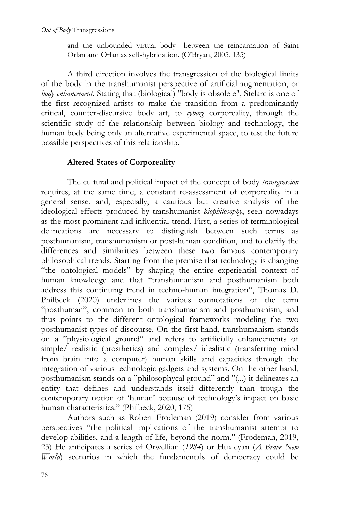and the unbounded virtual body—between the reincarnation of Saint Orlan and Orlan as self-hybridation. (O'Bryan, 2005, 135)

A third direction involves the transgression of the biological limits of the body in the transhumanist perspective of artificial augmentation, or *body enhancement*. Stating that (biological) "body is obsolete", Stelarc is one of the first recognized artists to make the transition from a predominantly critical, counter-discursive body art, to *cyborg* corporeality, through the scientific study of the relationship between biology and technology, the human body being only an alternative experimental space, to test the future possible perspectives of this relationship.

# **Altered States of Corporeality**

The cultural and political impact of the concept of body *transgression*  requires, at the same time, a constant re-assessment of corporeality in a general sense, and, especially, a cautious but creative analysis of the ideological effects produced by transhumanist *biophilosophy*, seen nowadays as the most prominent and influential trend. First, a series of terminological delineations are necessary to distinguish between such terms as posthumanism, transhumanism or post-human condition, and to clarify the differences and similarities between these two famous contemporary philosophical trends. Starting from the premise that technology is changing "the ontological models" by shaping the entire experiential context of human knowledge and that "transhumanism and posthumanism both address this continuing trend in techno-human integration", Thomas D. Philbeck (2020) underlines the various connotations of the term "posthuman", common to both transhumanism and posthumanism, and thus points to the different ontological frameworks modeling the two posthumanist types of discourse. On the first hand, transhumanism stands on a "physiological ground" and refers to artificially enhancements of simple/ realistic (prosthetics) and complex/ idealistic (transferring mind from brain into a computer) human skills and capacities through the integration of various technologic gadgets and systems. On the other hand, posthumanism stands on a "philosophycal ground" and "(...) it delineates an entity that defines and understands itself differently than trough the contemporary notion of 'human' because of technology's impact on basic human characteristics." (Philbeck, 2020, 175)

Authors such as Robert Frodeman (2019) consider from various perspectives "the political implications of the transhumanist attempt to develop abilities, and a length of life, beyond the norm." (Frodeman, 2019, 23) He anticipates a series of Orwellian (*1984*) or Huxleyan (*A Brave New World*) scenarios in which the fundamentals of democracy could be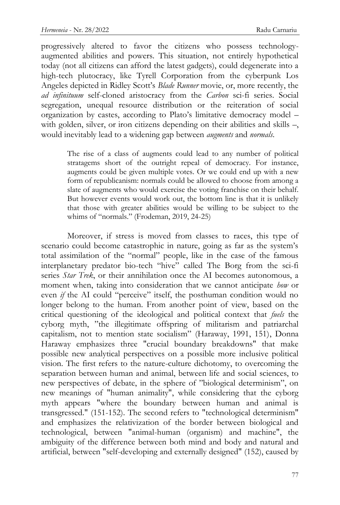progressively altered to favor the citizens who possess technologyaugmented abilities and powers. This situation, not entirely hypothetical today (not all citizens can afford the latest gadgets), could degenerate into a high-tech plutocracy, like Tyrell Corporation from the cyberpunk Los Angeles depicted in Ridley Scott's *Blade Runner* movie, or, more recently, the *ad infinituum* self-cloned aristocracy from the *Carbon* sci-fi series. Social segregation, unequal resource distribution or the reiteration of social organization by castes, according to Plato's limitative democracy model – with golden, silver, or iron citizens depending on their abilities and skills -, would inevitably lead to a widening gap between *augments* and *normals*.

> The rise of a class of augments could lead to any number of political stratagems short of the outright repeal of democracy. For instance, augments could be given multiple votes. Or we could end up with a new form of republicanism: normals could be allowed to choose from among a slate of augments who would exercise the voting franchise on their behalf. But however events would work out, the bottom line is that it is unlikely that those with greater abilities would be willing to be subject to the whims of "normals." (Frodeman, 2019, 24-25)

Moreover, if stress is moved from classes to races, this type of scenario could become catastrophic in nature, going as far as the system's total assimilation of the "normal" people, like in the case of the famous interplanetary predator bio-tech "hive" called The Borg from the sci-fi series *Star Trek*, or their annihilation once the AI becomes autonomous, a moment when, taking into consideration that we cannot anticipate *how* or even *if* the AI could "perceive" itself, the posthuman condition would no longer belong to the human. From another point of view, based on the critical questioning of the ideological and political context that *fuels* the cyborg myth, "the illegitimate offspring of militarism and patriarchal capitalism, not to mention state socialism" (Haraway, 1991, 151), Donna Haraway emphasizes three "crucial boundary breakdowns" that make possible new analytical perspectives on a possible more inclusive political vision. The first refers to the nature-culture dichotomy, to overcoming the separation between human and animal, between life and social sciences, to new perspectives of debate, in the sphere of "biological determinism", on new meanings of "human animality", while considering that the cyborg myth appears "where the boundary between human and animal is transgressed." (151-152). The second refers to "technological determinism" and emphasizes the relativization of the border between biological and technological, between "animal-human (organism) and machine", the ambiguity of the difference between both mind and body and natural and artificial, between "self-developing and externally designed" (152), caused by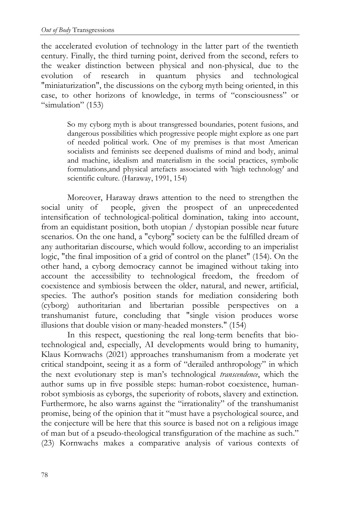the accelerated evolution of technology in the latter part of the twentieth century. Finally, the third turning point, derived from the second, refers to the weaker distinction between physical and non-physical, due to the evolution of research in quantum physics and technological "miniaturization", the discussions on the cyborg myth being oriented, in this case, to other horizons of knowledge, in terms of "consciousness" or ―simulation‖ (153)

> So my cyborg myth is about transgressed boundaries, potent fusions, and dangerous possibilities which progressive people might explore as one part of needed political work. One of my premises is that most American socialists and feminists see deepened dualisms of mind and body, animal and machine, idealism and materialism in the social practices, symbolic formulations,and physical artefacts associated with 'high technology' and scientific culture. (Haraway, 1991, 154)

Moreover, Haraway draws attention to the need to strengthen the social unity of people, given the prospect of an unprecedented intensification of technological-political domination, taking into account, from an equidistant position, both utopian / dystopian possible near future scenarios. On the one hand, a "cyborg" society can be the fulfilled dream of any authoritarian discourse, which would follow, according to an imperialist logic, "the final imposition of a grid of control on the planet" (154). On the other hand, a cyborg democracy cannot be imagined without taking into account the accessibility to technological freedom, the freedom of coexistence and symbiosis between the older, natural, and newer, artificial, species. The author's position stands for mediation considering both (cyborg) authoritarian and libertarian possible perspectives on a transhumanist future, concluding that "single vision produces worse illusions that double vision or many-headed monsters." (154)

In this respect, questioning the real long-term benefits that biotechnological and, especially, AI developments would bring to humanity, Klaus Kornwachs (2021) approaches transhumanism from a moderate yet critical standpoint, seeing it as a form of "derailed anthropology" in which the next evolutionary step is man's technological *transcendence*, which the author sums up in five possible steps: human-robot coexistence, humanrobot symbiosis as cyborgs, the superiority of robots, slavery and extinction. Furthermore, he also warns against the "irrationality" of the transhumanist promise, being of the opinion that it "must have a psychological source, and the conjecture will be here that this source is based not on a religious image of man but of a pseudo-theological transfiguration of the machine as such." (23) Kornwachs makes a comparative analysis of various contexts of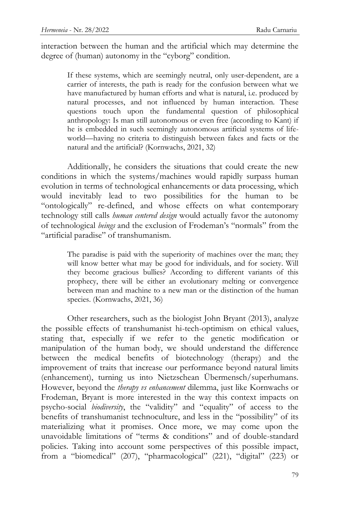interaction between the human and the artificial which may determine the degree of (human) autonomy in the "cyborg" condition.

> If these systems, which are seemingly neutral, only user-dependent, are a carrier of interests, the path is ready for the confusion between what we have manufactured by human efforts and what is natural, i.e. produced by natural processes, and not influenced by human interaction. These questions touch upon the fundamental question of philosophical anthropology: Is man still autonomous or even free (according to Kant) if he is embedded in such seemingly autonomous artificial systems of lifeworld—having no criteria to distinguish between fakes and facts or the natural and the artificial? (Kornwachs, 2021, 32)

Additionally, he considers the situations that could create the new conditions in which the systems/machines would rapidly surpass human evolution in terms of technological enhancements or data processing, which would inevitably lead to two possibilities for the human to be "ontologically" re-defined, and whose effects on what contemporary technology still calls *human centered design* would actually favor the autonomy of technological *beings* and the exclusion of Frodeman's "normals" from the "artificial paradise" of transhumanism.

> The paradise is paid with the superiority of machines over the man; they will know better what may be good for individuals, and for society. Will they become gracious bullies? According to different variants of this prophecy, there will be either an evolutionary melting or convergence between man and machine to a new man or the distinction of the human species. (Kornwachs, 2021, 36)

Other researchers, such as the biologist John Bryant (2013), analyze the possible effects of transhumanist hi-tech-optimism on ethical values, stating that, especially if we refer to the genetic modification or manipulation of the human body, we should understand the difference between the medical benefits of biotechnology (therapy) and the improvement of traits that increase our performance beyond natural limits (enhancement), turning us into Nietzschean Übermensch/superhumans. However, beyond the *therapy vs enhancement* dilemma, just like Kornwachs or Frodeman, Bryant is more interested in the way this context impacts on psycho-social *biodiversity*, the "validity" and "equality" of access to the benefits of transhumanist technoculture, and less in the "possibility" of its materializing what it promises. Once more, we may come upon the unavoidable limitations of "terms & conditions" and of double-standard policies. Taking into account some perspectives of this possible impact, from a "biomedical" (207), "pharmacological" (221), "digital" (223) or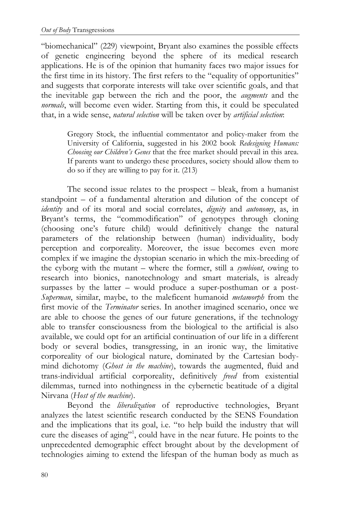"biomechanical" (229) viewpoint, Bryant also examines the possible effects of genetic engineering beyond the sphere of its medical research applications. He is of the opinion that humanity faces two major issues for the first time in its history. The first refers to the "equality of opportunities" and suggests that corporate interests will take over scientific goals, and that the inevitable gap between the rich and the poor, the *augments* and the *normals*, will become even wider. Starting from this, it could be speculated that, in a wide sense, *natural selection* will be taken over by *artificial selection*:

> Gregory Stock, the influential commentator and policy-maker from the University of California, suggested in his 2002 book *Redesigning Humans: Choosing our Children's Genes* that the free market should prevail in this area. If parents want to undergo these procedures, society should allow them to do so if they are willing to pay for it. (213)

The second issue relates to the prospect – bleak, from a humanist standpoint – of a fundamental alteration and dilution of the concept of *identity* and of its moral and social correlates, *dignity* and *autonomy*, as, in Bryant's terms, the "commodification" of genotypes through cloning (choosing one's future child) would definitively change the natural parameters of the relationship between (human) individuality, body perception and corporeality. Moreover, the issue becomes even more complex if we imagine the dystopian scenario in which the mix-breeding of the cyborg with the mutant – where the former, still a *symbiont*, owing to research into bionics, nanotechnology and smart materials, is already surpasses by the latter – would produce a super-posthuman or a post-*Superman*, similar, maybe, to the maleficent humanoid *metamorph* from the first movie of the *Terminator* series. In another imagined scenario, once we are able to choose the genes of our future generations, if the technology able to transfer consciousness from the biological to the artificial is also available, we could opt for an artificial continuation of our life in a different body or several bodies, transgressing, in an ironic way, the limitative corporeality of our biological nature, dominated by the Cartesian bodymind dichotomy (*Ghost in the machine*), towards the augmented, fluid and trans-individual artificial corporeality, definitively *freed* from existential dilemmas, turned into nothingness in the cybernetic beatitude of a digital Nirvana (*Host of the machine*).

Beyond the *liberalization* of reproductive technologies, Bryant analyzes the latest scientific research conducted by the SENS Foundation and the implications that its goal, i.e. "to help build the industry that will cure the diseases of aging"<sup>1</sup>, could have in the near future. He points to the unprecedented demographic effect brought about by the development of technologies aiming to extend the lifespan of the human body as much as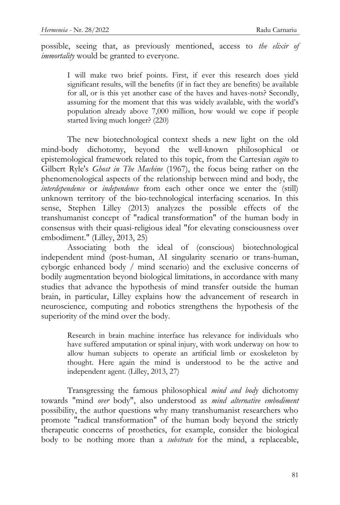possible, seeing that, as previously mentioned, access to *the elixir of immortality* would be granted to everyone.

I will make two brief points. First, if ever this research does yield significant results, will the benefits (if in fact they are benefits) be available for all, or is this yet another case of the haves and haves-nots? Secondly, assuming for the moment that this was widely available, with the world's population already above 7,000 million, how would we cope if people started living much longer? (220)

The new biotechnological context sheds a new light on the old mind-body dichotomy, beyond the well-known philosophical or epistemological framework related to this topic, from the Cartesian *cogito* to Gilbert Ryle's *Ghost in The Machine* (1967), the focus being rather on the phenomenological aspects of the relationship between mind and body, the *interdependence* or *independence* from each other once we enter the (still) unknown territory of the bio-technological interfacing scenarios. In this sense, Stephen Lilley (2013) analyzes the possible effects of the transhumanist concept of "radical transformation" of the human body in consensus with their quasi-religious ideal "for elevating consciousness over embodiment." (Lilley, 2013, 25)

Associating both the ideal of (conscious) biotechnological independent mind (post-human, AI singularity scenario or trans-human, cyborgic enhanced body / mind scenario) and the exclusive concerns of bodily augmentation beyond biological limitations, in accordance with many studies that advance the hypothesis of mind transfer outside the human brain, in particular, Lilley explains how the advancement of research in neuroscience, computing and robotics strengthens the hypothesis of the superiority of the mind over the body.

> Research in brain machine interface has relevance for individuals who have suffered amputation or spinal injury, with work underway on how to allow human subjects to operate an artificial limb or exoskeleton by thought. Here again the mind is understood to be the active and independent agent. (Lilley, 2013, 27)

Transgressing the famous philosophical *mind and body* dichotomy towards "mind *over* body", also understood as *mind alternative embodiment* possibility, the author questions why many transhumanist researchers who promote "radical transformation" of the human body beyond the strictly therapeutic concerns of prosthetics, for example, consider the biological body to be nothing more than a *substrate* for the mind, a replaceable,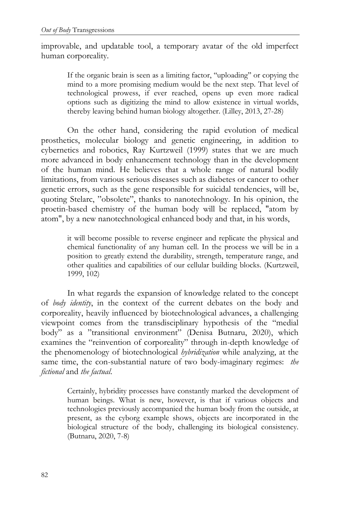improvable, and updatable tool, a temporary avatar of the old imperfect human corporeality.

> If the organic brain is seen as a limiting factor, "uploading" or copying the mind to a more promising medium would be the next step. That level of technological prowess, if ever reached, opens up even more radical options such as digitizing the mind to allow existence in virtual worlds, thereby leaving behind human biology altogether. (Lilley, 2013, 27-28)

On the other hand, considering the rapid evolution of medical prosthetics, molecular biology and genetic engineering, in addition to cybernetics and robotics, Ray Kurtzweil (1999) states that we are much more advanced in body enhancement technology than in the development of the human mind. He believes that a whole range of natural bodily limitations, from various serious diseases such as diabetes or cancer to other genetic errors, such as the gene responsible for suicidal tendencies, will be, quoting Stelarc, "obsolete", thanks to nanotechnology. In his opinion, the proetin-based chemistry of the human body will be replaced, "atom by atom", by a new nanotechnological enhanced body and that, in his words,

> it will become possible to reverse engineer and replicate the physical and chemical functionality of any human cell. In the process we will be in a position to greatly extend the durability, strength, temperature range, and other qualities and capabilities of our cellular building blocks. (Kurtzweil, 1999, 102)

In what regards the expansion of knowledge related to the concept of *body identity*, in the context of the current debates on the body and corporeality, heavily influenced by biotechnological advances, a challenging viewpoint comes from the transdisciplinary hypothesis of the "medial body" as a "transitional environment" (Denisa Butnaru, 2020), which examines the "reinvention of corporeality" through in-depth knowledge of the phenomenology of biotechnological *hybridization* while analyzing, at the same time, the con-substantial nature of two body-imaginary regimes: *the fictional* and *the factual*.

> Certainly, hybridity processes have constantly marked the development of human beings. What is new, however, is that if various objects and technologies previously accompanied the human body from the outside, at present, as the cyborg example shows, objects are incorporated in the biological structure of the body, challenging its biological consistency. (Butnaru, 2020, 7-8)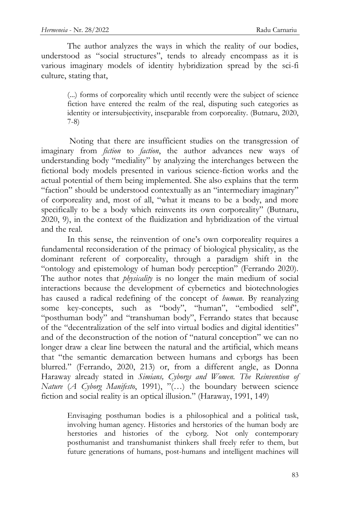The author analyzes the ways in which the reality of our bodies, understood as "social structures", tends to already encompass as it is various imaginary models of identity hybridization spread by the sci-fi culture, stating that,

> (...) forms of corporeality which until recently were the subject of science fiction have entered the realm of the real, disputing such categories as identity or intersubjectivity, inseparable from corporeality. (Butnaru, 2020, 7-8)

Noting that there are insufficient studies on the transgression of imaginary from *fiction* to *faction*, the author advances new ways of understanding body "mediality" by analyzing the interchanges between the fictional body models presented in various science-fiction works and the actual potential of them being implemented. She also explains that the term "faction" should be understood contextually as an "intermediary imaginary" of corporeality and, most of all, "what it means to be a body, and more specifically to be a body which reinvents its own corporeality" (Butnaru, 2020, 9), in the context of the fluidization and hybridization of the virtual and the real.

In this sense, the reinvention of one's own corporeality requires a fundamental reconsideration of the primacy of biological physicality, as the dominant referent of corporeality, through a paradigm shift in the "ontology and epistemology of human body perception" (Ferrando 2020). The author notes that *physicality* is no longer the main medium of social interactions because the development of cybernetics and biotechnologies has caused a radical redefining of the concept of *human*. By reanalyzing some key-concepts, such as "body", "human", "embodied self", "posthuman body" and "transhuman body", Ferrando states that because of the "decentralization of the self into virtual bodies and digital identities" and of the deconstruction of the notion of "natural conception" we can no longer draw a clear line between the natural and the artificial, which means that "the semantic demarcation between humans and cyborgs has been blurred." (Ferrando, 2020, 213) or, from a different angle, as Donna Haraway already stated in *Simians, Cyborgs and Women. The Reinvention of Nature* (*A Cyborg Manifesto*, 1991), "(...) the boundary between science fiction and social reality is an optical illusion." (Haraway, 1991, 149)

Envisaging posthuman bodies is a philosophical and a political task, involving human agency. Histories and herstories of the human body are herstories and histories of the cyborg. Not only contemporary posthumanist and transhumanist thinkers shall freely refer to them, but future generations of humans, post-humans and intelligent machines will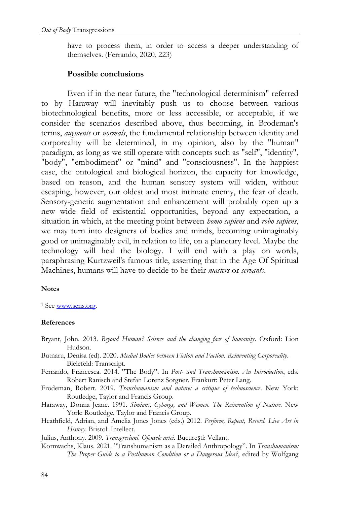have to process them, in order to access a deeper understanding of themselves. (Ferrando, 2020, 223)

### **Possible conclusions**

Even if in the near future, the "technological determinism" referred to by Haraway will inevitably push us to choose between various biotechnological benefits, more or less accessible, or acceptable, if we consider the scenarios described above, thus becoming, in Brodeman's terms, *augments* or *normals*, the fundamental relationship between identity and corporeality will be determined, in my opinion, also by the "human" paradigm, as long as we still operate with concepts such as "self", "identity", "body", "embodiment" or "mind" and "consciousness". In the happiest case, the ontological and biological horizon, the capacity for knowledge, based on reason, and the human sensory system will widen, without escaping, however, our oldest and most intimate enemy, the fear of death. Sensory-genetic augmentation and enhancement will probably open up a new wide field of existential opportunities, beyond any expectation, a situation in which, at the meeting point between *homo sapiens* and *robo sapiens*, we may turn into designers of bodies and minds, becoming unimaginably good or unimaginably evil, in relation to life, on a planetary level. Maybe the technology will heal the biology. I will end with a play on words, paraphrasing Kurtzweil's famous title, asserting that in the Age Of Spiritual Machines, humans will have to decide to be their *masters* or *servants*.

### **Notes**

<sup>1</sup> See [www.sens.org.](http://www.sens.org/)

### **References**

- Bryant, John. 2013. *Beyond Human? Science and the changing face of humanity*. Oxford: Lion Hudson.
- Butnaru, Denisa (ed). 2020. *Medial Bodies between Fiction and Faction. Reinventing Corporeality*. Bielefeld: Transcript.
- Ferrando, Francesca. 2014. "The Body". In *Post- and Transhumanism. An Introduction*, eds. Robert Ranisch and Stefan Lorenz Sorgner. Frankurt: Peter Lang.
- Frodeman, Robert. 2019. *Transhumanism and nature: a critique of technoscience*. New York: Routledge, Taylor and Francis Group.
- Haraway, Donna Jeane. 1991. *Simians, Cyborgs, and Women. The Reinvention of Nature.* New York: Routledge, Taylor and Francis Group.
- Heathfield, Adrian, and Amelia Jones Jones (eds.) 2012. *Perform, Repeat, Record. Live Art in History*. Bristol: Intellect.

Julius, Anthony. 2009. *Transgresiuni. Ofensele artei.* București: Vellant.

Kornwachs, Klaus. 2021. "Transhumanism as a Derailed Anthropology". In *Transhumanism*: *The Proper Guide to a Posthuman Condition or a Dangerous Idea?*, edited by Wolfgang